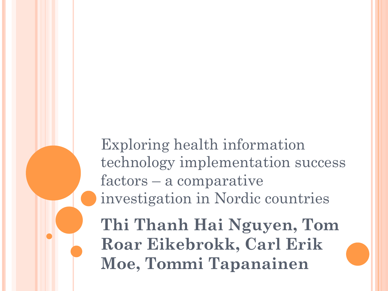Exploring health information technology implementation success factors – a comparative investigation in Nordic countries

**Thi Thanh Hai Nguyen, Tom Roar Eikebrokk, Carl Erik Moe, Tommi Tapanainen**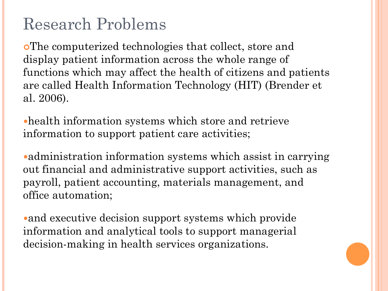## Research Problems

¢The computerized technologies that collect, store and display patient information across the whole range of functions which may affect the health of citizens and patients are called Health Information Technology (HIT) (Brender et al. 2006).

health information systems which store and retrieve information to support patient care activities;

administration information systems which assist in carrying out financial and administrative support activities, such as payroll, patient accounting, materials management, and office automation;

and executive decision support systems which provide information and analytical tools to support managerial decision-making in health services organizations.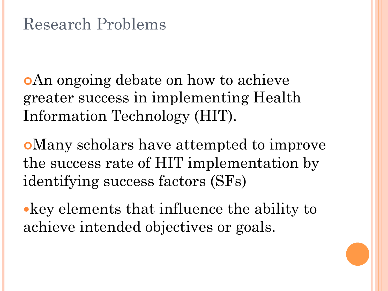¢An ongoing debate on how to achieve greater success in implementing Health Information Technology (HIT).

¢Many scholars have attempted to improve the success rate of HIT implementation by identifying success factors (SFs)

key elements that influence the ability to achieve intended objectives or goals.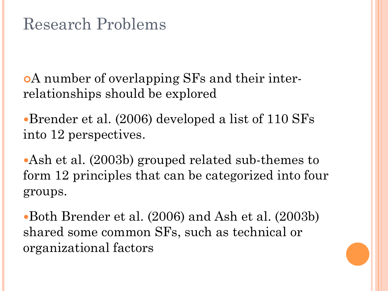¢A number of overlapping SFs and their interrelationships should be explored

Brender et al. (2006) developed a list of 110 SFs into 12 perspectives.

Ash et al. (2003b) grouped related sub-themes to form 12 principles that can be categorized into four groups.

Both Brender et al. (2006) and Ash et al. (2003b) shared some common SFs, such as technical or organizational factors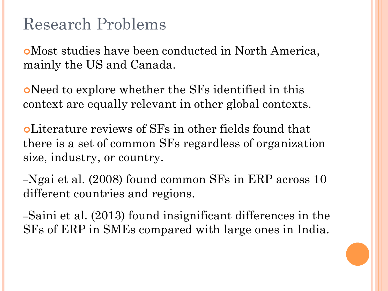### Research Problems

¢Most studies have been conducted in North America, mainly the US and Canada.

¢Need to explore whether the SFs identified in this context are equally relevant in other global contexts.

¢Literature reviews of SFs in other fields found that there is a set of common SFs regardless of organization size, industry, or country.

–Ngai et al. (2008) found common SFs in ERP across 10 different countries and regions.

–Saini et al. (2013) found insignificant differences in the SFs of ERP in SMEs compared with large ones in India.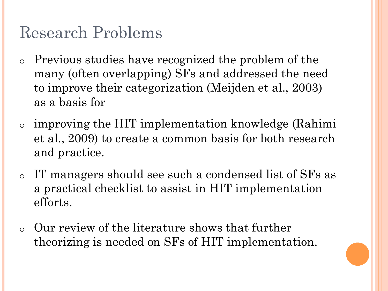## Research Problems

- o Previous studies have recognized the problem of the many (often overlapping) SFs and addressed the need to improve their categorization (Meijden et al., 2003) as a basis for
- o improving the HIT implementation knowledge (Rahimi et al., 2009) to create a common basis for both research and practice.
- o IT managers should see such a condensed list of SFs as a practical checklist to assist in HIT implementation efforts.
- o Our review of the literature shows that further theorizing is needed on SFs of HIT implementation.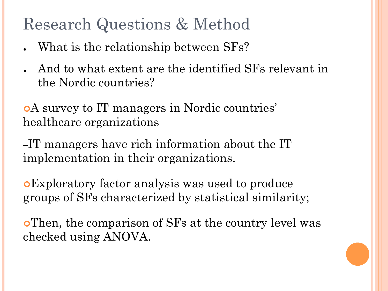### Research Questions & Method

- What is the relationship between SFs?
- And to what extent are the identified SFs relevant in the Nordic countries?

¢A survey to IT managers in Nordic countries' healthcare organizations

–IT managers have rich information about the IT implementation in their organizations.

¢Exploratory factor analysis was used to produce groups of SFs characterized by statistical similarity;

¢Then, the comparison of SFs at the country level was checked using ANOVA.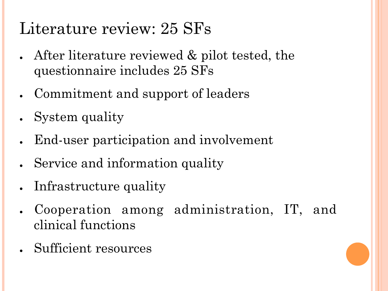# Literature review: 25 SFs

- After literature reviewed  $\&$  pilot tested, the questionnaire includes 25 SFs
- Commitment and support of leaders
- System quality
- End-user participation and involvement
- Service and information quality
- Infrastructure quality
- Cooperation among administration, IT, and clinical functions
- Sufficient resources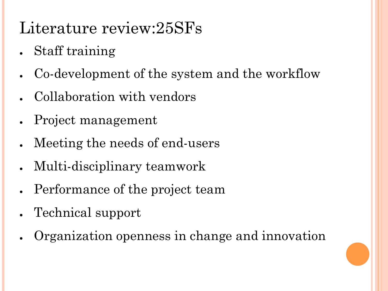# Literature review:25SFs

- Staff training
- Co-development of the system and the workflow
- Collaboration with vendors
- Project management
- Meeting the needs of end-users
- Multi-disciplinary teamwork
- Performance of the project team
- Technical support
- Organization openness in change and innovation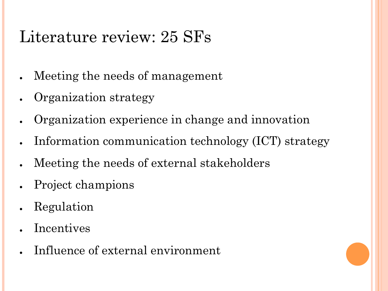## Literature review: 25 SFs

- Meeting the needs of management
- Organization strategy
- Organization experience in change and innovation
- Information communication technology (ICT) strategy
- Meeting the needs of external stakeholders
- Project champions
- **Regulation**
- **Incentives**
- Influence of external environment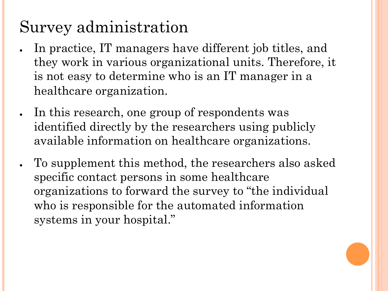# Survey administration

- In practice, IT managers have different job titles, and they work in various organizational units. Therefore, it is not easy to determine who is an IT manager in a healthcare organization.
- In this research, one group of respondents was identified directly by the researchers using publicly available information on healthcare organizations.
- To supplement this method, the researchers also asked specific contact persons in some healthcare organizations to forward the survey to "the individual who is responsible for the automated information systems in your hospital."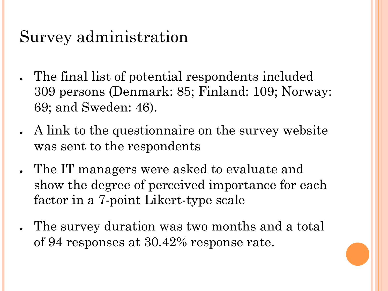### Survey administration

- The final list of potential respondents included 309 persons (Denmark: 85; Finland: 109; Norway: 69; and Sweden: 46).
- A link to the questionnaire on the survey website was sent to the respondents
- The IT managers were asked to evaluate and show the degree of perceived importance for each factor in a 7-point Likert-type scale
- The survey duration was two months and a total of 94 responses at 30.42% response rate.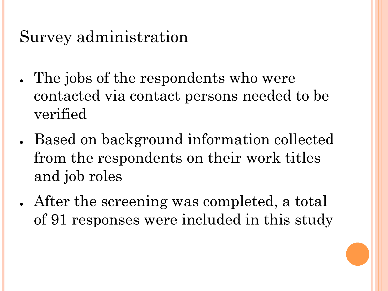### Survey administration

- The jobs of the respondents who were contacted via contact persons needed to be verified
- Based on background information collected from the respondents on their work titles and job roles
- After the screening was completed, a total of 91 responses were included in this study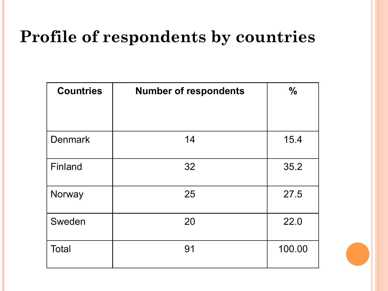# **Profile of respondents by countries**

| <b>Countries</b> | <b>Number of respondents</b> | $\frac{0}{0}$ |
|------------------|------------------------------|---------------|
| <b>Denmark</b>   | 14                           | 15.4          |
| Finland          | 32                           | 35.2          |
| Norway           | 25                           | 27.5          |
| Sweden           | 20                           | 22.0          |
| <b>Total</b>     | 91                           | 100.00        |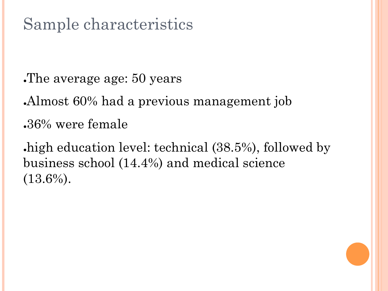## Sample characteristics

The average age: 50 years

Almost 60% had a previous management job  $.36\%$  were female

high education level: technical (38.5%), followed by business school (14.4%) and medical science  $(13.6\%).$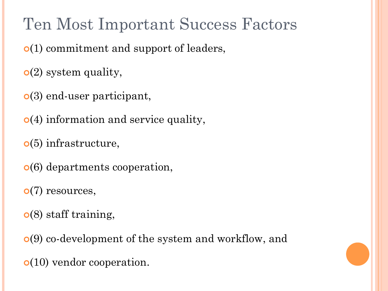Ten Most Important Success Factors

¢(1) commitment and support of leaders,

¢(2) system quality,

¢(3) end-user participant,

¢(4) information and service quality,

¢(5) infrastructure,

¢(6) departments cooperation,

 $\bullet$ (7) resources,

¢(8) staff training,

¢(9) co-development of the system and workflow, and

¢(10) vendor cooperation.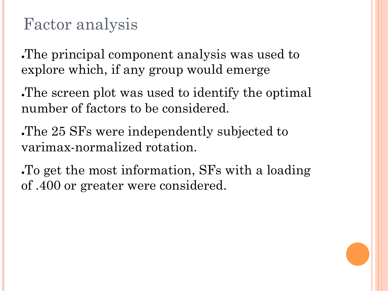**The principal component analysis was used to** explore which, if any group would emerge

. The screen plot was used to identify the optimal. number of factors to be considered.

The 25 SFs were independently subjected to varimax-normalized rotation.

●To get the most information, SFs with a loading of .400 or greater were considered.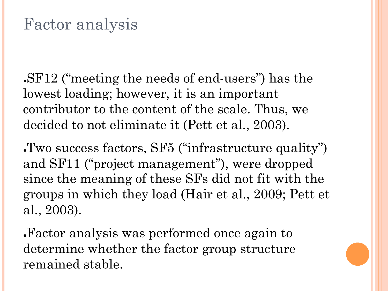•SF12 ("meeting the needs of end-users") has the lowest loading; however, it is an important contributor to the content of the scale. Thus, we decided to not eliminate it (Pett et al., 2003).

●Two success factors, SF5 ("infrastructure quality") and SF11 ("project management"), were dropped since the meaning of these SFs did not fit with the groups in which they load (Hair et al., 2009; Pett et al., 2003).

●Factor analysis was performed once again to determine whether the factor group structure remained stable.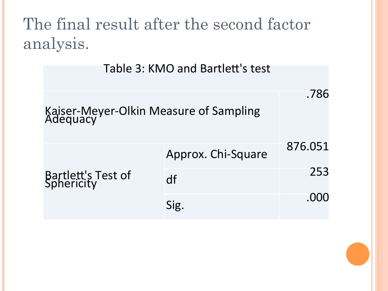## The final result after the second factor analysis.

Table 3: KMO and Bartlett's test

|                                  | Kaiser-Meyer-Olkin Measure of Sampling<br>Adequacy |         |
|----------------------------------|----------------------------------------------------|---------|
|                                  | Approx. Chi-Square                                 | 876.051 |
| Bartlett's Test of<br>Sphericity | df                                                 | 253     |
|                                  | Sig.                                               | .000    |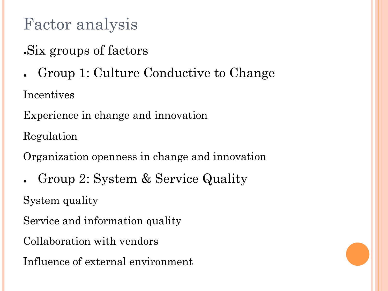. Six groups of factors

Group 1: Culture Conductive to Change

Incentives

Experience in change and innovation

Regulation

Organization openness in change and innovation

Group 2: System & Service Quality

System quality

Service and information quality

Collaboration with vendors

Influence of external environment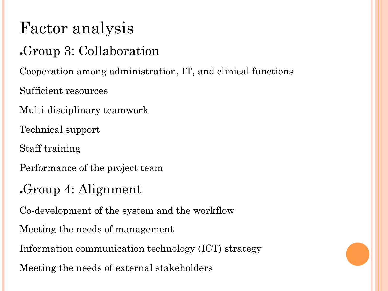#### Group 3: Collaboration

Cooperation among administration, IT, and clinical functions

Sufficient resources

Multi-disciplinary teamwork

Technical support

Staff training

Performance of the project team

#### Group 4: Alignment

Co-development of the system and the workflow

Meeting the needs of management

Information communication technology (ICT) strategy

Meeting the needs of external stakeholders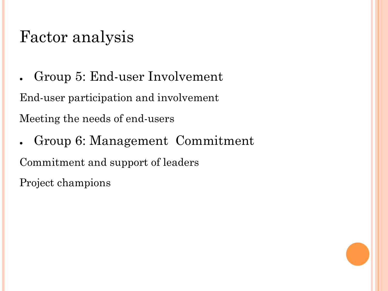• Group 5: End-user Involvement

End-user participation and involvement

Meeting the needs of end-users

• Group 6: Management Commitment Commitment and support of leaders Project champions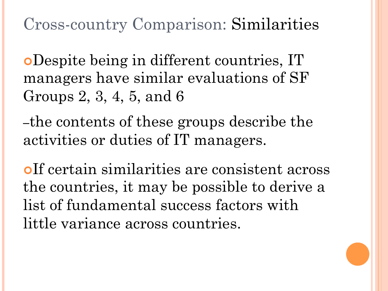Cross-country Comparison: Similarities

¢Despite being in different countries, IT managers have similar evaluations of SF Groups 2, 3, 4, 5, and 6

–the contents of these groups describe the activities or duties of IT managers.

¢If certain similarities are consistent across the countries, it may be possible to derive a list of fundamental success factors with little variance across countries.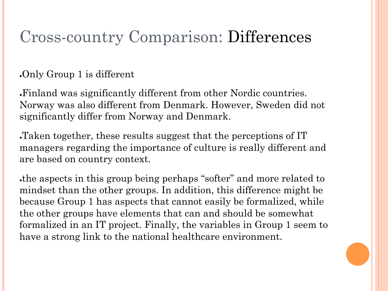### Cross-country Comparison: Differences

 $\Omega$ . Only Group 1 is different

●Finland was significantly different from other Nordic countries. Norway was also different from Denmark. However, Sweden did not significantly differ from Norway and Denmark.

Taken together, these results suggest that the perceptions of IT managers regarding the importance of culture is really different and are based on country context.

the aspects in this group being perhaps "softer" and more related to mindset than the other groups. In addition, this difference might be because Group 1 has aspects that cannot easily be formalized, while the other groups have elements that can and should be somewhat formalized in an IT project. Finally, the variables in Group 1 seem to have a strong link to the national healthcare environment.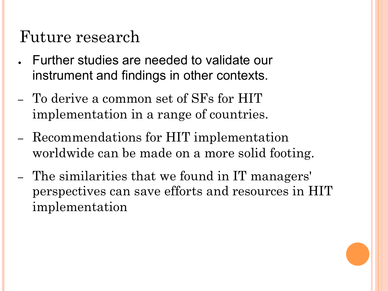### Future research

- Further studies are needed to validate our instrument and findings in other contexts.
- To derive a common set of SFs for HIT implementation in a range of countries.
- Recommendations for HIT implementation worldwide can be made on a more solid footing.
- The similarities that we found in IT managers' perspectives can save efforts and resources in HIT implementation